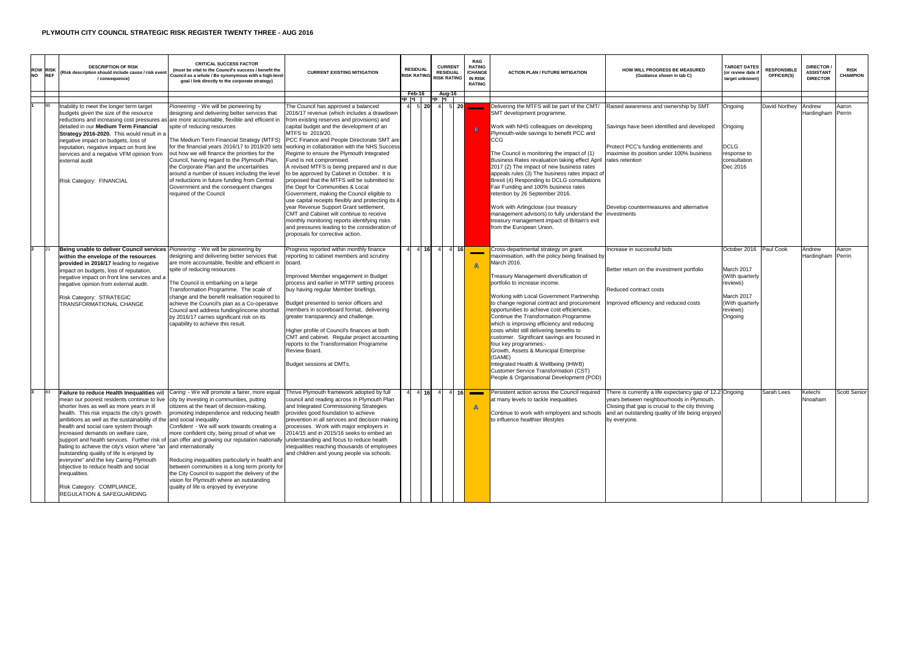| <b>ROW RISK</b><br><b>NO</b> | <b>CRITICAL SUCCESS FACTOR</b><br><b>DESCRIPTION OF RISK</b><br>(must be vital to the Council's success / benefit the<br>(Risk description should include cause / risk event<br>Council as a whole / Be synonymous with a high-level<br>/ consequence)<br>goal / link directly to the corporate strategy)                                                                                                                                                                                                                                                                                                                                                                                                                                                                                                                                                                                                                                                                                                                                                                                                                                                                                                                                                                                       | <b>CURRENT EXISTING MITIGATION</b>                                                                                                                                                                                                                                                                                                                                                                                                                                                                                                                                                                                                                                                                                                                                                                                                                                                                                                            | <b>RESIDUAL</b><br><b>RISK RATING</b> |           | <b>CURRENT</b><br><b>RESIDUAL</b><br><b>RISK RATING</b> | <b>RAG</b><br><b>RATING</b><br>/CHANGE<br><b>IN RISK</b><br><b>RATING</b> | <b>ACTION PLAN / FUTURE MITIGATION</b>                                                                                                                                                                                                                                                                                                                                                                                                                                                                                                                                                                                                                                                                                                    | <b>HOW WILL PROGRESS BE MEASURED</b><br>(Guidance shown in tab C)                                                                                                                                                             | <b>TARGET DATES</b><br><b>RESPONSIBLE</b><br>(or review date i<br>OFFICER(S)<br>target unknown)                               | <b>DIRECTOR/</b><br><b>RISK</b><br><b>ASSISTANT</b><br><b>CHAMPION</b><br><b>DIRECTOR</b> |
|------------------------------|-------------------------------------------------------------------------------------------------------------------------------------------------------------------------------------------------------------------------------------------------------------------------------------------------------------------------------------------------------------------------------------------------------------------------------------------------------------------------------------------------------------------------------------------------------------------------------------------------------------------------------------------------------------------------------------------------------------------------------------------------------------------------------------------------------------------------------------------------------------------------------------------------------------------------------------------------------------------------------------------------------------------------------------------------------------------------------------------------------------------------------------------------------------------------------------------------------------------------------------------------------------------------------------------------|-----------------------------------------------------------------------------------------------------------------------------------------------------------------------------------------------------------------------------------------------------------------------------------------------------------------------------------------------------------------------------------------------------------------------------------------------------------------------------------------------------------------------------------------------------------------------------------------------------------------------------------------------------------------------------------------------------------------------------------------------------------------------------------------------------------------------------------------------------------------------------------------------------------------------------------------------|---------------------------------------|-----------|---------------------------------------------------------|---------------------------------------------------------------------------|-------------------------------------------------------------------------------------------------------------------------------------------------------------------------------------------------------------------------------------------------------------------------------------------------------------------------------------------------------------------------------------------------------------------------------------------------------------------------------------------------------------------------------------------------------------------------------------------------------------------------------------------------------------------------------------------------------------------------------------------|-------------------------------------------------------------------------------------------------------------------------------------------------------------------------------------------------------------------------------|-------------------------------------------------------------------------------------------------------------------------------|-------------------------------------------------------------------------------------------|
|                              |                                                                                                                                                                                                                                                                                                                                                                                                                                                                                                                                                                                                                                                                                                                                                                                                                                                                                                                                                                                                                                                                                                                                                                                                                                                                                                 |                                                                                                                                                                                                                                                                                                                                                                                                                                                                                                                                                                                                                                                                                                                                                                                                                                                                                                                                               | Feb-16<br> P                          | $ \cdot $ | Aug-16                                                  |                                                                           |                                                                                                                                                                                                                                                                                                                                                                                                                                                                                                                                                                                                                                                                                                                                           |                                                                                                                                                                                                                               |                                                                                                                               |                                                                                           |
|                              | nability to meet the longer term target<br><i>Pioneering</i> - We will be pioneering by<br>designing and delivering better services that<br>budgets given the size of the resource<br>reductions and increasing cost pressures as are more accountable, flexible and efficient i<br>detailed in our Medium Term Financial<br>spite of reducing resources<br>Strategy 2016-2020. This would result in a<br>The Medium Term Financial Strategy (MTFS)<br>negative impact on budgets, loss of<br>reputation, negative impact on front line<br>out how we will finance the priorities for the<br>services and a negative VFM opinion from<br>Council, having regard to the Plymouth Plan,<br>external audit<br>the Corporate Plan and the uncertainties<br>around a number of issues including the level<br>of reductions in future funding from Central<br><b>Risk Category: FINANCIAL</b><br>Government and the consequent changes<br>required of the Council                                                                                                                                                                                                                                                                                                                                     | The Council has approved a balanced<br>2016/17 revenue (which includes a drawdown<br>from existing reserves and provisions) and<br>capital budget and the development of an<br>MTFS to 2019/20.<br><b>PCC Finance and People Directorate SMT are</b><br>for the financial years 2016/17 to 2019/20 sets working in collaboration with the NHS Success<br>Regime to ensure the Plymouth Integrated<br>Fund is not compromised.<br>A revised MTFS is being prepared and is due<br>to be approved by Cabinet in October. It is<br>proposed that the MTFS will be submitted to<br>the Dept for Communities & Local<br>Government, making the Council eligible to<br>use capital receipts flexibly and protecting its 4<br>year Revenue Support Grant settlement.<br>CMT and Cabinet will continue to receive<br>monthly monitoring reports identifying risks<br>and pressures leading to the consideration of<br>proposals for corrective action. | 5 20                                  |           | $5 \mid 20 \mid$                                        |                                                                           | Delivering the MTFS will be part of the CMT/<br><b>SMT</b> development programme.<br>Work with NHS colleagues on developing<br>Plymouth-wide savings to benefit PCC and<br><b>CCG</b><br>The Council is monitoring the impact of (1)<br>Business Rates revaluation taking effect April   rates retention<br>2017 (2) The impact of new business rates<br>appeals rules (3) The business rates impact of<br>Brexit (4) Responding to DCLG consultations<br>Fair Funding and 100% business rates<br>retention by 26 September 2016.<br>Work with Arlingclose (our treasury<br>management advisors) to fully understand the investments<br>treasury management impact of Britain's exit<br>from the European Union.                          | Raised awareness and ownership by SMT<br>Savings have been identified and developed<br><b>Protect PCC's funding entitlements and</b><br>maximise its position under 100% business<br>Develop countermeasures and alternative  | David Northey<br>Ongoing<br><b>Ongoing</b><br><b>DCLG</b><br>response to<br>consultation<br>Dec 2016                          | Andrew<br>Aaron<br>Hardingham   Perrin                                                    |
|                              | <i>Pioneering</i> - We will be pioneering by<br>Being unable to deliver Council services<br>designing and delivering better services that<br>within the envelope of the resources<br>are more accountable, flexible and efficient in<br>provided in 2016/17 leading to negative<br>spite of reducing resources<br>impact on budgets, loss of reputation,<br>negative impact on front line services and a<br>The Council is embarking on a large<br>negative opinion from external audit.<br>Transformation Programme. The scale of<br>change and the benefit realisation required to<br><b>Risk Category: STRATEGIC</b><br>achieve the Council's plan as a Co-operative<br><b>TRANSFORMATIONAL CHANGE</b><br>Council and address funding/income shortfall<br>by 2016/17 carries significant risk on its<br>capability to achieve this result.                                                                                                                                                                                                                                                                                                                                                                                                                                                   | Progress reported within monthly finance<br>reporting to cabinet members and scrutiny<br>lboard.<br>Improved Member engagement in Budget<br>process and earlier in MTFP setting process<br>buy having regular Member briefings.<br>Budget presented to senior officers and<br>members in scoreboard format, delivering<br>greater transparency and challenge.<br>Higher profile of Council's finances at both<br>CMT and cabinet. Regular project accounting<br>reports to the Transformation Programme<br>Review Board.<br>Budget sessions at DMTs.                                                                                                                                                                                                                                                                                                                                                                                          | $4$ 16                                |           | $4$ 4 16                                                |                                                                           | Cross-departmental strategy on grant<br>maximisation, with the policy being finalised by<br>March 2016.<br>Treasury Management diversification of<br>portfolio to increase income.<br><b>Working with Local Government Partnership</b><br>to change regional contract and procurement<br>opportunities to achieve cost efficiencies.<br>Continue the Transformation Programme<br>which is improving efficiency and reducing<br>costs whilst still delivering benefits to<br>customer. Significant savings are focused in<br>four key programmes:-<br>Growth, Assets & Municipal Enterprise<br>(GAME)<br>Integrated Health & Wellbeing (IHWB)<br><b>Customer Service Transformation (CST)</b><br>People & Organisational Development (POD) | Increase in successful bids<br>Better return on the investment portfolio<br>Reduced contract costs<br>Improved efficiency and reduced costs                                                                                   | October 2016   Paul Cook<br>March 2017<br>(With quarterly<br>reviews)<br>March 2017<br>(With quarterly<br>reviews)<br>Ongoing | Andrew<br>Aaron<br>Hardingham   Perrin                                                    |
|                              | <b>Failure to reduce Health Inequalities</b> will <i>Caring -</i> We will promote a fairer, more equal<br>mean our poorest residents continue to live   city by investing in communities, putting<br>citizens at the heart of decision-making,<br>shorter lives as well as more years in ill<br>promoting independence and reducing health<br>nealth. This risk impacts the city's growth<br>ambitions as well as the sustainability of the and social inequality<br>Confident - We will work towards creating a<br>health and social care system through<br>more confident city, being proud of what we<br>increased demands on welfare care,<br>support and health services. Further risk of can offer and growing our reputation nationally<br>failing to achieve the city's vision where "an   and internationally<br>outstanding quality of life is enjoyed by<br> Reducing inequalities particularly in health and  <br>everyone" and the key Caring Plymouth<br>objective to reduce health and social<br>between communities is a long term priority for<br>the City Council to support the delivery of the<br>inequalities.<br>vision for Plymouth where an outstanding<br>Risk Category: COMPLIANCE,<br>quality of life is enjoyed by everyone<br><b>REGULATION &amp; SAFEGUARDING</b> | Thrive Plymouth framework adopted by full<br>council and reading across in Plymouth Plan<br>and Integrated Commissioning Strategies<br>provides good foundation to achieve<br>prevention in all services and decision making<br>processes. Work with major employers in<br>2014/15 and in 2015/16 seeks to embed an<br>understanding and focus to reduce health<br>inequalities reaching thousands of employees<br>and children and young people via schools.                                                                                                                                                                                                                                                                                                                                                                                                                                                                                 | $4$ 16                                |           |                                                         | $4 \mid 16 \mid$ $\longrightarrow$                                        | Persistent action across the Council required<br>at many levels to tackle inequalities<br>Continue to work with employers and schools<br>to influence healthier lifestyles                                                                                                                                                                                                                                                                                                                                                                                                                                                                                                                                                                | There is currently a life expectancy gap of 12.2 Ongoing<br>years between neighbourhoods in Plymouth.<br>Closing that gap is crucial to the city thriving<br>and an outstanding quality of life being enjoyed<br>by everyone. | Sarah Lees                                                                                                                    | Kelechi<br>Scott Senior<br>Nnoaham                                                        |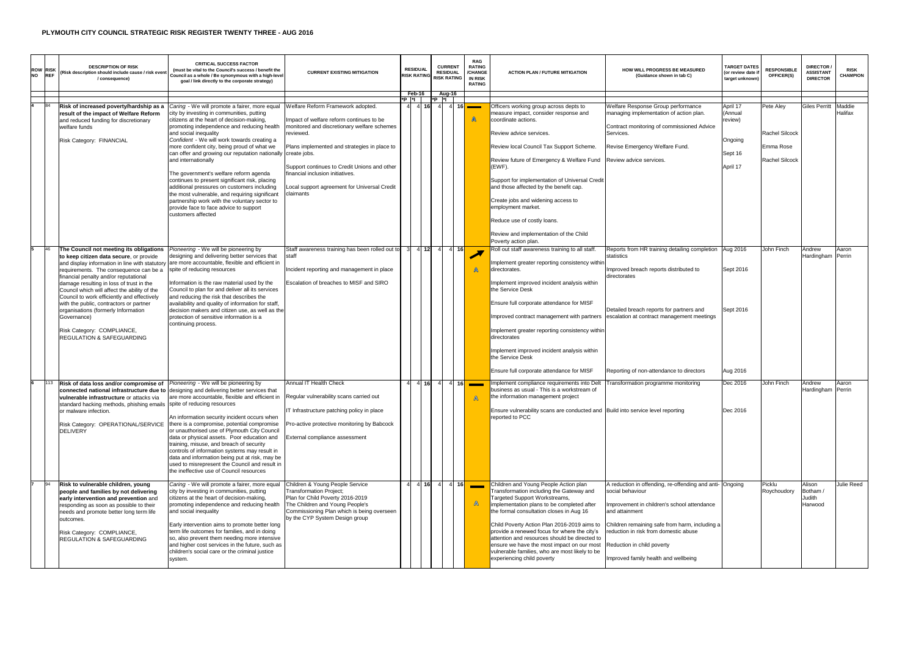| ROW RISK<br>NO REF | <b>DESCRIPTION OF RISK</b><br>(Risk description should include cause / risk event<br>/ consequence)                                                                                                                                                                                                                                                                                                                                                                                          | <b>CRITICAL SUCCESS FACTOR</b><br>(must be vital to the Council's success / benefit the<br>Council as a whole / Be synonymous with a high-level<br>goal / link directly to the corporate strategy)                                                                                                                                                                                                                                                                                                                                                                                                                                                                                                                       | <b>CURRENT EXISTING MITIGATION</b>                                                                                                                                                                                                                                                                                                                | <b>RESIDUAL</b><br><b>RISK RATING</b><br><b>Feb-16</b> |                       | <b>CURRENT</b><br><b>RESIDUAL</b><br><b>RISK RATING</b><br>Aug-16 |        | <b>RAG</b><br><b>RATING</b><br>/CHANGE<br><b>IN RISK</b><br><b>RATING</b> | <b>ACTION PLAN / FUTURE MITIGATION</b>                                                                                                                                                                                                                                                                                                                                                                                                                                                                                                    | <b>HOW WILL PROGRESS BE MEASURED</b><br>(Guidance shown in tab C)                                                                                                                                                                                                                | TARGET DATES  <br>(or review date if<br>target unknown)            | <b>RESPONSIBLE</b><br><b>OFFICER(S)</b>                                  | <b>DIRECTOR/</b><br><b>ASSISTANT</b><br><b>DIRECTOR</b> | <b>RISK</b><br><b>CHAMPION</b> |
|--------------------|----------------------------------------------------------------------------------------------------------------------------------------------------------------------------------------------------------------------------------------------------------------------------------------------------------------------------------------------------------------------------------------------------------------------------------------------------------------------------------------------|--------------------------------------------------------------------------------------------------------------------------------------------------------------------------------------------------------------------------------------------------------------------------------------------------------------------------------------------------------------------------------------------------------------------------------------------------------------------------------------------------------------------------------------------------------------------------------------------------------------------------------------------------------------------------------------------------------------------------|---------------------------------------------------------------------------------------------------------------------------------------------------------------------------------------------------------------------------------------------------------------------------------------------------------------------------------------------------|--------------------------------------------------------|-----------------------|-------------------------------------------------------------------|--------|---------------------------------------------------------------------------|-------------------------------------------------------------------------------------------------------------------------------------------------------------------------------------------------------------------------------------------------------------------------------------------------------------------------------------------------------------------------------------------------------------------------------------------------------------------------------------------------------------------------------------------|----------------------------------------------------------------------------------------------------------------------------------------------------------------------------------------------------------------------------------------------------------------------------------|--------------------------------------------------------------------|--------------------------------------------------------------------------|---------------------------------------------------------|--------------------------------|
|                    | Risk of increased poverty/hardship as a<br>result of the impact of Welfare Reform<br>and reduced funding for discretionary<br>welfare funds<br><b>Risk Category: FINANCIAL</b>                                                                                                                                                                                                                                                                                                               | <i>Caring</i> - We will promote a fairer, more equal<br>city by investing in communities, putting<br>citizens at the heart of decision-making,<br>promoting independence and reducing health<br>and social inequality<br>Confident - We will work towards creating a<br>more confident city, being proud of what we<br>can offer and growing our reputation nationally create jobs.<br>and internationally<br>The government's welfare reform agenda<br>continues to present significant risk, placing<br>additional pressures on customers including<br>the most vulnerable, and requiring significant<br>partnership work with the voluntary sector to<br>provide face to face advice to support<br>customers affected | Welfare Reform Framework adopted.<br>Impact of welfare reform continues to be<br>monitored and discretionary welfare schemes<br>reviewed.<br>Plans implemented and strategies in place to<br>Support continues to Credit Unions and other<br>financial inclusion initiatives.<br>Local support agreement for Universal Credit<br><b>claimants</b> | *P  *                                                  | $ ^{\ast}P$<br>$4$ 16 |                                                                   |        | $4 \mid 16$ $\longrightarrow$                                             | Officers working group across depts to<br>measure impact, consider response and<br>coordinate actions.<br><b>Review advice services.</b><br><b>Review local Council Tax Support Scheme.</b><br>Review future of Emergency & Welfare Fund   Review advice services.<br>$ $ (EWF).<br>Support for implementation of Universal Credit<br>and those affected by the benefit cap.<br>Create jobs and widening access to<br>employment market.<br>Reduce use of costly loans.<br>Review and implementation of the Child<br>Poverty action plan. | Welfare Response Group performance<br>Imanaging implementation of action plan.<br>Contract monitoring of commissioned Advice<br>Services.<br>Revise Emergency Welfare Fund.                                                                                                      | April 17<br> (Annual<br>review)<br> Ongoing<br>Sept 16<br>April 17 | Pete Aley<br><b>Rachel Silcock</b><br>Emma Rose<br><b>Rachel Silcock</b> | <b>Giles Perritt</b>                                    | Maddie<br>Halifax              |
|                    | The Council not meeting its obligations<br>to keep citizen data secure, or provide<br>equirements. The consequence can be a<br>inancial penalty and/or reputational<br>damage resulting in loss of trust in the<br>Council which will affect the ability of the<br>Council to work efficiently and effectively<br>with the public, contractors or partner<br>organisations (formerly Information<br>Governance)<br><b>Risk Category: COMPLIANCE,</b><br><b>REGULATION &amp; SAFEGUARDING</b> | <i>Pioneering</i> - We will be pioneering by<br>designing and delivering better services that<br>and display information in line with statutory aare more accountable, flexible and efficient in<br>spite of reducing resources<br>Information is the raw material used by the<br>Council to plan for and deliver all its services<br>and reducing the risk that describes the<br>availability and quality of information for staff,<br>decision makers and citizen use, as well as the<br>protection of sensitive information is a<br>continuing process.                                                                                                                                                               | Staff awareness training has been rolled out to<br>Incident reporting and management in place<br>Escalation of breaches to MISF and SIRO                                                                                                                                                                                                          |                                                        | $4 \mid 12 \mid$      | 4 4 16                                                            |        |                                                                           | Roll out staff awareness training to all staff.<br>Implement greater reporting consistency within<br>directorates.<br>Implement improved incident analysis within<br>the Service Desk<br><b>Ensure full corporate attendance for MISF</b><br>Improved contract management with partners<br>Implement greater reporting consistency within<br>directorates<br>Implement improved incident analysis within<br>the Service Desk<br><b>Ensure full corporate attendance for MISF</b>                                                          | Reports from HR training detailing completion   Aug 2016<br>Istatistics<br>Improved breach reports distributed to<br><b>Idirectorates</b><br>Detailed breach reports for partners and<br>escalation at contract management meetings<br>Reporting of non-attendance to directors  | <b>Sept 2016</b><br><b>Sept 2016</b><br>Aug 2016                   | John Finch                                                               | Andrew<br>Hardingham   Perrin                           | Aaron                          |
|                    | <b>Risk of data loss and/or compromise of</b> $\vert$ <i>Pioneering</i> - We will be pioneering by<br>vulnerable infrastructure or attacks via<br>standard hacking methods, phishing emails   spite of reducing resources<br>or malware infection.<br>Risk Category: OPERATIONAL/SERVICE<br><b>DELIVERY</b>                                                                                                                                                                                  | connected national infrastructure due to designing and delivering better services that<br>are more accountable, flexible and efficient in  Regular vulnerability scans carried out<br>An information security incident occurs when<br>there is a compromise, potential compromise<br>or unauthorised use of Plymouth City Council<br>data or physical assets. Poor education and<br>training, misuse, and breach of security<br>controls of information systems may result in<br>data and information being put at risk, may be<br>used to misrepresent the Council and result in<br>the ineffective use of Council resources                                                                                            | Annual IT Health Check<br>T Infrastructure patching policy in place<br><b>Pro-active protective monitoring by Babcock</b><br><b>External compliance assessment</b>                                                                                                                                                                                |                                                        | $\Delta$ 16<br>$4$ 16 |                                                                   | $4$ 16 |                                                                           | Implement compliance requirements into Delt   Transformation programme monitoring<br>business as usual - This is a workstream of<br>the information management project<br>Ensure vulnerability scans are conducted and Build into service level reporting<br>reported to PCC                                                                                                                                                                                                                                                              |                                                                                                                                                                                                                                                                                  | Dec 2016<br>Dec 2016                                               | IJohn Finch<br>Picklu                                                    | Andrew<br>Hardingham Perrin                             | Aaron<br><b>Julie Reed</b>     |
|                    | Risk to vulnerable children, young<br>people and families by not delivering<br>early intervention and prevention and<br>responding as soon as possible to their<br>needs and promote better long term life<br>outcomes.<br>Risk Category: COMPLIANCE,<br><b>REGULATION &amp; SAFEGUARDING</b>                                                                                                                                                                                                | <i>Caring</i> - We will promote a fairer, more equal<br>city by investing in communities, putting<br>citizens at the heart of decision-making,<br>promoting independence and reducing health<br>and social inequality<br>Early intervention aims to promote better long<br>term life outcomes for families, and in doing<br>so, also prevent them needing more intensive<br>and higher cost services in the future, such as<br>children's social care or the criminal justice<br>system.                                                                                                                                                                                                                                 | Children & Young People Service<br>Transformation Project;<br>Plan for Child Poverty 2016-2019<br>The Children and Young People's<br>Commissioning Plan which is being overseen<br>by the CYP System Design group                                                                                                                                 |                                                        |                       |                                                                   | 4 16 L |                                                                           | Children and Young People Action plan<br>Transformation including the Gateway and<br>Targeted Support Workstreams,<br>implementation plans to be completed after<br>the formal consultation closes in Aug 16<br>Child Poverty Action Plan 2016-2019 aims to<br>provide a renewed focus for where the city's<br>attention and resources should be directed to<br>ensure we have the most impact on our most   Reduction in child poverty<br>vulnerable families, who are most likely to be<br>experiencing child poverty                   | A reduction in offending, re-offending and anti- Ongoing<br>social behaviour<br>Improvement in children's school attendance<br>and attainment<br>Children remaining safe from harm, including a<br>reduction in risk from domestic abuse<br>Improved family health and wellbeing |                                                                    | Roychoudory                                                              | Alison<br>Botham<br><b>Judith</b><br><b>Harwood</b>     |                                |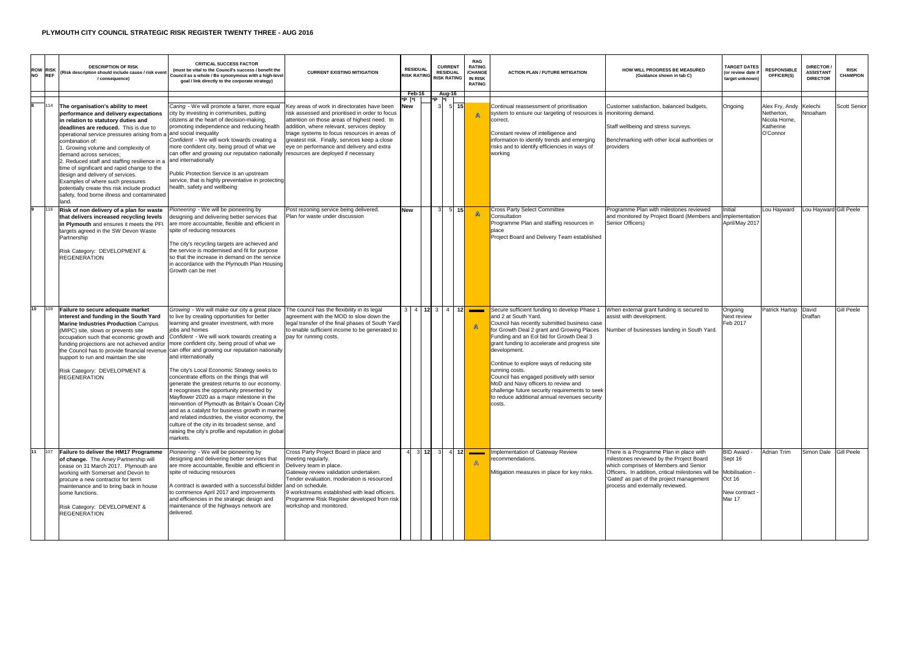| <b>NO</b> | <b>ROW RISK</b> | <b>DESCRIPTION OF RISK</b><br>(Risk description should include cause / risk event<br>/ consequence)                                                                                                                                                                                                                                                                                                                                                                                                                                                                | <b>CRITICAL SUCCESS FACTOR</b><br>(must be vital to the Council's success / benefit the<br>Council as a whole / Be synonymous with a high-level<br>goal / link directly to the corporate strategy)                                                                                                                                                                                                                                                                                                                                                                                                                                                                                                                                                                                                                                                               | <b>CURRENT EXISTING MITIGATION</b>                                                                                                                                                                                                                                                                                                                                                | <b>RESIDUAL</b><br><b>RISK RATING</b><br>Feb-16 |           | <b>CURRENT</b><br><b>RESIDUAL</b><br><b>RISK RATING</b><br>Aug-16 |        | <b>RAG</b><br><b>RATING</b><br>/CHANGE<br><b>IN RISK</b><br><b>RATING</b> | <b>ACTION PLAN / FUTURE MITIGATION</b>                                                                                                                                                                                                                                                                                                                                                                                                                                                                                                           | <b>HOW WILL PROGRESS BE MEASURED</b><br>(Guidance shown in tab C)                                                                                                                                                                                                                  | <b>TARGET DATES</b><br>(or review date i<br>target unknown)         | <b>RESPONSIBLE</b><br>OFFICER(S)                                                 | <b>DIRECTOR /</b><br><b>ASSISTANT</b><br><b>DIRECTOR</b> | <b>RISK</b><br><b>CHAMPION</b> |
|-----------|-----------------|--------------------------------------------------------------------------------------------------------------------------------------------------------------------------------------------------------------------------------------------------------------------------------------------------------------------------------------------------------------------------------------------------------------------------------------------------------------------------------------------------------------------------------------------------------------------|------------------------------------------------------------------------------------------------------------------------------------------------------------------------------------------------------------------------------------------------------------------------------------------------------------------------------------------------------------------------------------------------------------------------------------------------------------------------------------------------------------------------------------------------------------------------------------------------------------------------------------------------------------------------------------------------------------------------------------------------------------------------------------------------------------------------------------------------------------------|-----------------------------------------------------------------------------------------------------------------------------------------------------------------------------------------------------------------------------------------------------------------------------------------------------------------------------------------------------------------------------------|-------------------------------------------------|-----------|-------------------------------------------------------------------|--------|---------------------------------------------------------------------------|--------------------------------------------------------------------------------------------------------------------------------------------------------------------------------------------------------------------------------------------------------------------------------------------------------------------------------------------------------------------------------------------------------------------------------------------------------------------------------------------------------------------------------------------------|------------------------------------------------------------------------------------------------------------------------------------------------------------------------------------------------------------------------------------------------------------------------------------|---------------------------------------------------------------------|----------------------------------------------------------------------------------|----------------------------------------------------------|--------------------------------|
|           |                 | The organisation's ability to meet<br>performance and delivery expectations<br>n relation to statutory duties and<br>deadlines are reduced. This is due to<br>operational service pressures arising from a<br>combination of:<br>Growing volume and complexity of<br>demand across services;<br>. Reduced staff and staffing resilience in a<br>time of significant and rapid change to the<br>design and delivery of services.<br>Examples of where such pressures<br>potentially create this risk include product<br>safety, food borne illness and contaminated | <i>Caring</i> - We will promote a fairer, more equal<br>city by investing in communities, putting<br>citizens at the heart of decision-making,<br>promoting independence and reducing health<br>and social inequality<br>Confident - We will work towards creating a<br>more confident city, being proud of what we<br>can offer and growing our reputation nationally<br>and internationally<br>Public Protection Service is an upstream<br>service, that is highly preventative in protecting<br>health, safety and wellbeing                                                                                                                                                                                                                                                                                                                                  | Key areas of work in directorates have been<br>risk assessed and prioritised in order to focus<br>attention on those areas of highest need. In<br>addition, where relevant, services deploy<br>triage systems to focus resources in areas of<br>greatest risk. Finally, services keep a close<br>eye on performance and delivery and extra<br>resources are deployed if necessary | *P  * <br><b>New</b>                            | l*P       |                                                                   | $5$ 15 |                                                                           | Continual reassessment of prioritisation<br>system to ensure our targeting of resources is<br>correct<br>Constant review of intelligence and<br>information to identify trends and emerging<br>risks and to identify efficiencies in ways of<br>working                                                                                                                                                                                                                                                                                          | Customer satisfaction, balanced budgets,<br>monitoring demand.<br>Staff wellbeing and stress surveys.<br>Benchmarking with other local authorities or<br>providers                                                                                                                 | Ongoing                                                             | Alex Fry, Andy   Kelechi<br>Netherton,<br>Nicola Horne,<br>Katherine<br>O'Connor | <b>Nnoaham</b>                                           | <b>Scott Senior</b>            |
|           |                 | Risk of non delivery of a plan for waste<br>in Plymouth and ensures it meets the PFI<br>targets agreed in the SW Devon Waste<br>Partnership<br><b>Risk Category: DEVELOPMENT &amp;</b><br><b>REGENERATION</b>                                                                                                                                                                                                                                                                                                                                                      | Pioneering - We will be pioneering by<br>that delivers increased recycling levels   designing and delivering better services that<br>are more accountable, flexible and efficient in<br>spite of reducing resources<br>The city's recycling targets are achieved and<br>the service is modernised and fit for purpose<br>so that the increase in demand on the service<br>in accordance with the Plymouth Plan Housing<br>Growth can be met                                                                                                                                                                                                                                                                                                                                                                                                                      | Post rezoning service being delivered.<br>Plan for waste under discussion                                                                                                                                                                                                                                                                                                         | <b>New</b>                                      |           |                                                                   | $5$ 15 |                                                                           | <b>Cross Party Select Committee</b><br>Consultation<br>Programme Plan and staffing resources in<br><b>Project Board and Delivery Team established</b>                                                                                                                                                                                                                                                                                                                                                                                            | <b>Programme Plan with milestones reviewed</b><br>and monitored by Project Board (Members and implementation)<br>'Senior Officers)                                                                                                                                                 | <b>Initial</b><br>April/May 2017                                    | Lou Hayward                                                                      | Lou Hayward Gill Peele                                   |                                |
| 10        |                 | <b>Failure to secure adequate market</b><br>interest and funding in the South Yard<br><b>Marine Industries Production Campus</b><br>MIPC) site, slows or prevents site<br>occupation such that economic growth and<br>unding projections are not achieved and/or<br>the Council has to provide financial revenue<br>support to run and maintain the site<br><b>Risk Category: DEVELOPMENT &amp;</b><br><b>REGENERATION</b>                                                                                                                                         | Growing - We will make our city a great place<br>to live by creating opportunities for better<br>learning and greater investment, with more<br>jobs and homes<br>Confident - We will work towards creating a<br>more confident city, being proud of what we<br>can offer and growing our reputation nationally<br>and internationally<br>The city's Local Economic Strategy seeks to<br>concentrate efforts on the things that will<br>generate the greatest returns to our economy.<br>It recognises the opportunity presented by<br>Mayflower 2020 as a major milestone in the<br>reinvention of Plymouth as Britain's Ocean City<br>and as a catalyst for business growth in marine<br>and related industries, the visitor economy, the<br>culture of the city in its broadest sense, and<br>raising the city's profile and reputation in global<br>Imarkets. | The council has the flexibility in its legal<br>agreement with the MOD to slow down the<br>legal transfer of the final phases of South Yard<br>to enable sufficient income to be generated to<br>pay for running costs.                                                                                                                                                           | 3   4   12   3   4   12                         |           |                                                                   |        |                                                                           | Secure sufficient funding to develop Phase 1<br>and 2 at South Yard.<br>Council has recently submitted business case<br>for Growth Deal 2 grant and Growing Places<br>Funding and an Eol bid for Growth Deal 3<br>grant funding to accelerate and progress site<br>development.<br>Continue to explore ways of reducing site<br>running costs.<br>Council has engaged positively with senior<br>MoD and Navy officers to review and<br>challenge future security requirements to seek<br>to reduce additional annual revenues security<br>costs. | When external grant funding is secured to<br>assist with development.<br>Number of businesses landing in South Yard.                                                                                                                                                               | Ongoing<br>Next review<br><b>Feb 2017</b>                           | Patrick Hartop David                                                             | Draffan                                                  | <b>Gill Peele</b>              |
|           |                 | <b>Failure to deliver the HM17 Programme</b><br>of change. The Amey Partnership will<br>cease on 31 March 2017. Plymouth are<br>working with Somerset and Devon to<br>procure a new contractor for term<br>maintenance and to bring back in house<br>some functions.<br><b>Risk Category: DEVELOPMENT &amp;</b><br><b>REGENERATION</b>                                                                                                                                                                                                                             | Pioneering - We will be pioneering by<br>designing and delivering better services that<br>are more accountable, flexible and efficient in<br>spite of reducing resources<br>A contract is awarded with a successful bidder and on schedule.<br>to commence April 2017 and improvements<br>and efficiencies in the strategic design and<br>maintenance of the highways network are<br>delivered.                                                                                                                                                                                                                                                                                                                                                                                                                                                                  | Cross Party Project Board in place and<br> meeting regularly.<br>Delivery team in place.<br>Gateway review validation undertaken.<br>Tender evaluation, moderation is resourced<br>9 workstreams established with lead officers.<br>Programme Risk Register developed from risk<br>workshop and monitored.                                                                        | 3 12                                            | $\vert$ 3 |                                                                   | $4$ 12 |                                                                           | <b>Implementation of Gateway Review</b><br>recommendations.<br>Mitigation measures in place for key risks.                                                                                                                                                                                                                                                                                                                                                                                                                                       | There is a Programme Plan in place with<br>milestones reviewed by the Project Board<br>which comprises of Members and Senior<br>Officers. In addition, critical milestones will be Mobilisation -<br>'Gated' as part of the project management<br>process and externally reviewed. | <b>BID Award -</b><br>Sept 16<br>Oct 16<br>New contract -<br>Mar 17 | Adrian Trim                                                                      | Simon Dale                                               | <b>Gill Peele</b>              |